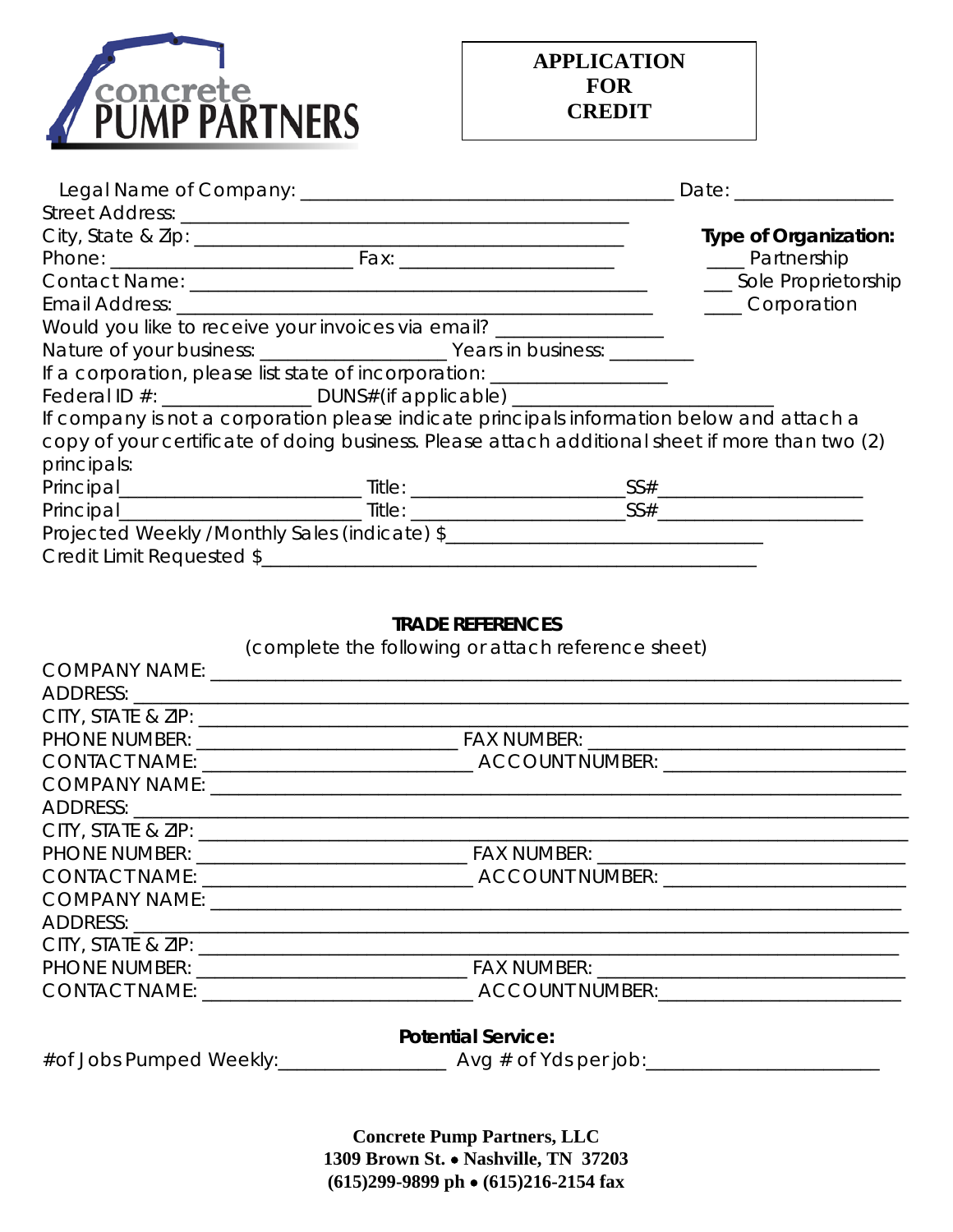

|                                                                                                 |  |  | Date: ________________       |
|-------------------------------------------------------------------------------------------------|--|--|------------------------------|
|                                                                                                 |  |  |                              |
|                                                                                                 |  |  | <b>Type of Organization:</b> |
|                                                                                                 |  |  | ____ Partnership             |
|                                                                                                 |  |  | __ Sole Proprietorship       |
|                                                                                                 |  |  | ____Corporation              |
| Would you like to receive your invoices via email? _________________                            |  |  |                              |
|                                                                                                 |  |  |                              |
| If a corporation, please list state of incorporation: __________________________                |  |  |                              |
| Federal ID #: _____________________DUNS#(if applicable) ________________________                |  |  |                              |
| If company is not a corporation please indicate principals information below and attach a       |  |  |                              |
| copy of your certificate of doing business. Please attach additional sheet if more than two (2) |  |  |                              |
| principals:                                                                                     |  |  |                              |
|                                                                                                 |  |  |                              |
|                                                                                                 |  |  |                              |
|                                                                                                 |  |  |                              |
|                                                                                                 |  |  |                              |

### **TRADE REFERENCES**

| (complete the following or attach reference sheet) |
|----------------------------------------------------|
|                                                    |
|                                                    |
|                                                    |
|                                                    |
|                                                    |
|                                                    |
|                                                    |
|                                                    |
|                                                    |
|                                                    |
|                                                    |
|                                                    |
|                                                    |
|                                                    |
|                                                    |
| <b>Potential Service:</b>                          |
|                                                    |

**Concrete Pump Partners, LLC 1309 Brown St.** • **Nashville, TN 37203 (615)299-9899 ph** • **(615)216-2154 fax**